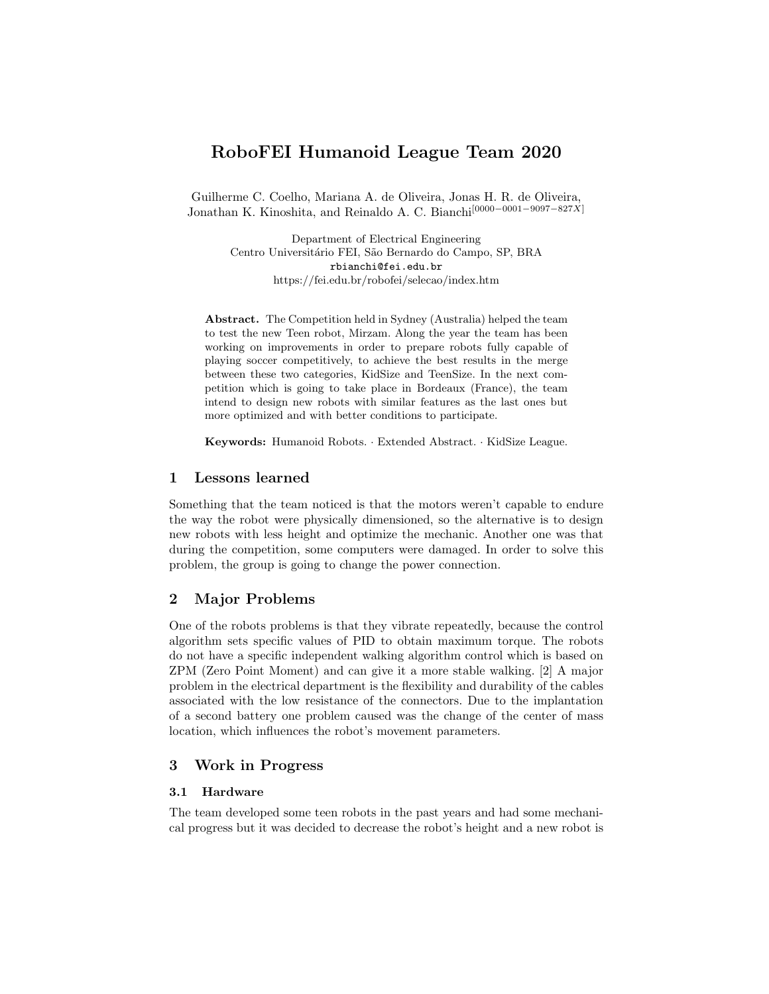# RoboFEI Humanoid League Team 2020

Guilherme C. Coelho, Mariana A. de Oliveira, Jonas H. R. de Oliveira, Jonathan K. Kinoshita, and Reinaldo A. C. Bianchi[0000−0001−9097−827X]

> Department of Electrical Engineering Centro Universitário FEI, São Bernardo do Campo, SP, BRA rbianchi@fei.edu.br https://fei.edu.br/robofei/selecao/index.htm

Abstract. The Competition held in Sydney (Australia) helped the team to test the new Teen robot, Mirzam. Along the year the team has been working on improvements in order to prepare robots fully capable of playing soccer competitively, to achieve the best results in the merge between these two categories, KidSize and TeenSize. In the next competition which is going to take place in Bordeaux (France), the team intend to design new robots with similar features as the last ones but more optimized and with better conditions to participate.

Keywords: Humanoid Robots. · Extended Abstract. · KidSize League.

## 1 Lessons learned

Something that the team noticed is that the motors weren't capable to endure the way the robot were physically dimensioned, so the alternative is to design new robots with less height and optimize the mechanic. Another one was that during the competition, some computers were damaged. In order to solve this problem, the group is going to change the power connection.

# 2 Major Problems

One of the robots problems is that they vibrate repeatedly, because the control algorithm sets specific values of PID to obtain maximum torque. The robots do not have a specific independent walking algorithm control which is based on ZPM (Zero Point Moment) and can give it a more stable walking. [2] A major problem in the electrical department is the flexibility and durability of the cables associated with the low resistance of the connectors. Due to the implantation of a second battery one problem caused was the change of the center of mass location, which influences the robot's movement parameters.

# 3 Work in Progress

## 3.1 Hardware

The team developed some teen robots in the past years and had some mechanical progress but it was decided to decrease the robot's height and a new robot is